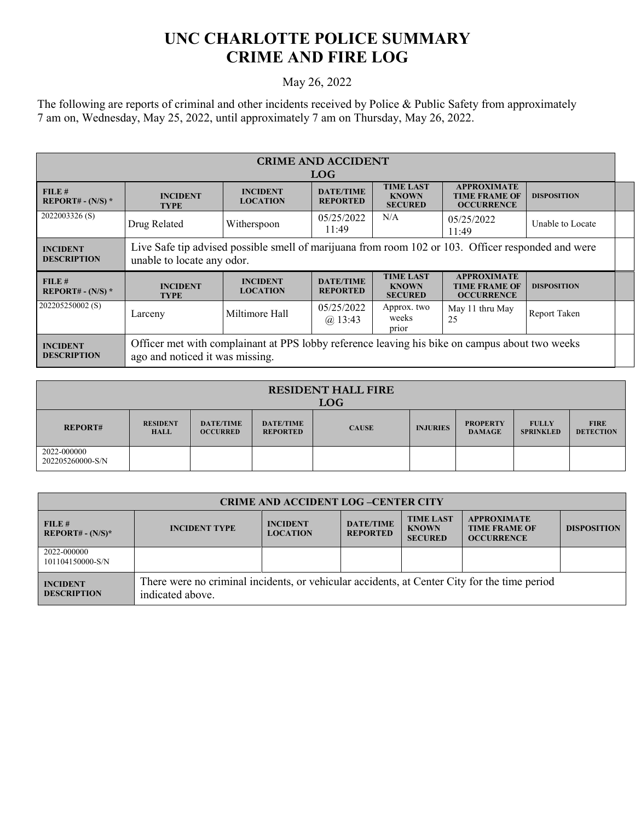## **UNC CHARLOTTE POLICE SUMMARY CRIME AND FIRE LOG**

## May 26, 2022

The following are reports of criminal and other incidents received by Police & Public Safety from approximately 7 am on, Wednesday, May 25, 2022, until approximately 7 am on Thursday, May 26, 2022.

| <b>CRIME AND ACCIDENT</b><br><b>LOG</b> |                                                                                                                                   |                                    |                                     |                                                    |                                                                 |                    |  |
|-----------------------------------------|-----------------------------------------------------------------------------------------------------------------------------------|------------------------------------|-------------------------------------|----------------------------------------------------|-----------------------------------------------------------------|--------------------|--|
| FILE#<br>REPORT# - $(N/S)$ *            | <b>INCIDENT</b><br><b>TYPE</b>                                                                                                    | <b>INCIDENT</b><br><b>LOCATION</b> | <b>DATE/TIME</b><br><b>REPORTED</b> | <b>TIME LAST</b><br><b>KNOWN</b><br><b>SECURED</b> | <b>APPROXIMATE</b><br><b>TIME FRAME OF</b><br><b>OCCURRENCE</b> | <b>DISPOSITION</b> |  |
| 2022003326 (S)                          | Drug Related                                                                                                                      | Witherspoon                        | 05/25/2022<br>11:49                 | N/A                                                | 05/25/2022<br>11:49                                             | Unable to Locate   |  |
| <b>INCIDENT</b><br><b>DESCRIPTION</b>   | Live Safe tip advised possible smell of marijuana from room 102 or 103. Officer responded and were<br>unable to locate any odor.  |                                    |                                     |                                                    |                                                                 |                    |  |
| FILE#<br>REPORT# - $(N/S)$ *            | <b>INCIDENT</b><br><b>TYPE</b>                                                                                                    | <b>INCIDENT</b><br><b>LOCATION</b> | <b>DATE/TIME</b><br><b>REPORTED</b> | <b>TIME LAST</b><br><b>KNOWN</b><br><b>SECURED</b> | <b>APPROXIMATE</b><br><b>TIME FRAME OF</b><br><b>OCCURRENCE</b> | <b>DISPOSITION</b> |  |
| 202205250002 (S)                        | Larceny                                                                                                                           | Miltimore Hall                     | 05/25/2022<br>$(a)$ 13:43           | Approx. two<br>weeks<br>prior                      | May 11 thru May<br>25                                           | Report Taken       |  |
| <b>INCIDENT</b><br><b>DESCRIPTION</b>   | Officer met with complainant at PPS lobby reference leaving his bike on campus about two weeks<br>ago and noticed it was missing. |                                    |                                     |                                                    |                                                                 |                    |  |

| <b>RESIDENT HALL FIRE</b><br><b>LOG</b> |                         |                                     |                                     |              |                 |                                  |                                  |                                 |
|-----------------------------------------|-------------------------|-------------------------------------|-------------------------------------|--------------|-----------------|----------------------------------|----------------------------------|---------------------------------|
| <b>REPORT#</b>                          | <b>RESIDENT</b><br>HALL | <b>DATE/TIME</b><br><b>OCCURRED</b> | <b>DATE/TIME</b><br><b>REPORTED</b> | <b>CAUSE</b> | <b>INJURIES</b> | <b>PROPERTY</b><br><b>DAMAGE</b> | <b>FULLY</b><br><b>SPRINKLED</b> | <b>FIRE</b><br><b>DETECTION</b> |
| 2022-000000<br>202205260000-S/N         |                         |                                     |                                     |              |                 |                                  |                                  |                                 |

| <b>CRIME AND ACCIDENT LOG-CENTER CITY</b> |                                                                                                                  |                                    |                                     |                                                    |                                                                 |                    |  |  |
|-------------------------------------------|------------------------------------------------------------------------------------------------------------------|------------------------------------|-------------------------------------|----------------------------------------------------|-----------------------------------------------------------------|--------------------|--|--|
| FILE#<br>$REPORT# - (N/S)^*$              | <b>INCIDENT TYPE</b>                                                                                             | <b>INCIDENT</b><br><b>LOCATION</b> | <b>DATE/TIME</b><br><b>REPORTED</b> | <b>TIME LAST</b><br><b>KNOWN</b><br><b>SECURED</b> | <b>APPROXIMATE</b><br><b>TIME FRAME OF</b><br><b>OCCURRENCE</b> | <b>DISPOSITION</b> |  |  |
| 2022-000000<br>101104150000-S/N           |                                                                                                                  |                                    |                                     |                                                    |                                                                 |                    |  |  |
| <b>INCIDENT</b><br><b>DESCRIPTION</b>     | There were no criminal incidents, or vehicular accidents, at Center City for the time period<br>indicated above. |                                    |                                     |                                                    |                                                                 |                    |  |  |